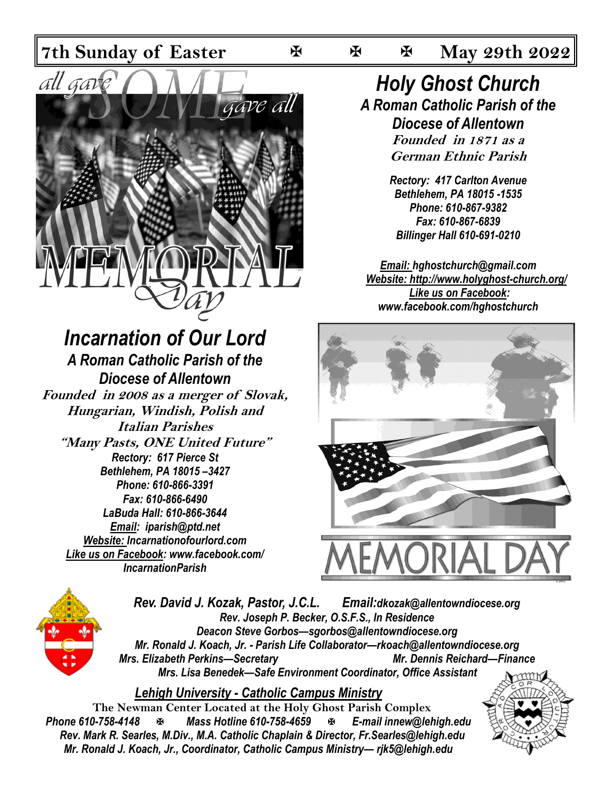

# *Incarnation of Our Lord*

*A Roman Catholic Parish of the Diocese of Allentown* **Founded in 2008 as a merger of Slovak, Hungarian, Windish, Polish and Italian Parishes "Many Pasts, ONE United Future"** *Rectory: 617 Pierce St Bethlehem, PA 18015 –3427 Phone: 610-866-3391 Fax: 610-866-6490 LaBuda Hall: 610-866-3644 Email: iparish@ptd.net Website: Incarnationofourlord.com Like us on Facebook: [www.facebook.com/](https://www.facebook.com/hghostchurch)  IncarnationParish*

### *Holy Ghost Church A Roman Catholic Parish of the Diocese of Allentown* **Founded in 1871 as a German Ethnic Parish**

*Rectory: 417 Carlton Avenue Bethlehem, PA 18015 -1535 Phone: 610-867-9382 Fax: 610-867-6839 Billinger Hall 610-691-0210*

*Email: hghostchurch@gmail.com Website: http://www.holyghost-church.org/ Like us on Facebook: [www.facebook.com/hghostchurch](https://www.facebook.com/hghostchurch)*





*Rev. David J. Kozak, Pastor, J.C.L. Email:dkozak@allentowndiocese.org Rev. Joseph P. Becker, O.S.F.S., In Residence Deacon Steve Gorbos—sgorbos@allentowndiocese.org Mr. Ronald J. Koach, Jr. - Parish Life Collaborator—rkoach@allentowndiocese.org Mrs. Elizabeth Perkins—Secretary Mr. Dennis Reichard—Finance Mrs. Lisa Benedek—Safe Environment Coordinator, Office Assistant* 

*Lehigh University - Catholic Campus Ministry*

**The Newman Center Located at the Holy Ghost Parish Complex**<br>**Phone 610-758-4148 E-mail innew@let** *Phone 610-758-4148 Mass Hotline 610-758-4659 E-mail innew@lehigh.edu Rev. Mark R. Searles, M.Div., M.A. Catholic Chaplain & Director, Fr.Searles@lehigh.edu Mr. Ronald J. Koach, Jr., Coordinator, Catholic Campus Ministry— rjk5@lehigh.edu* 

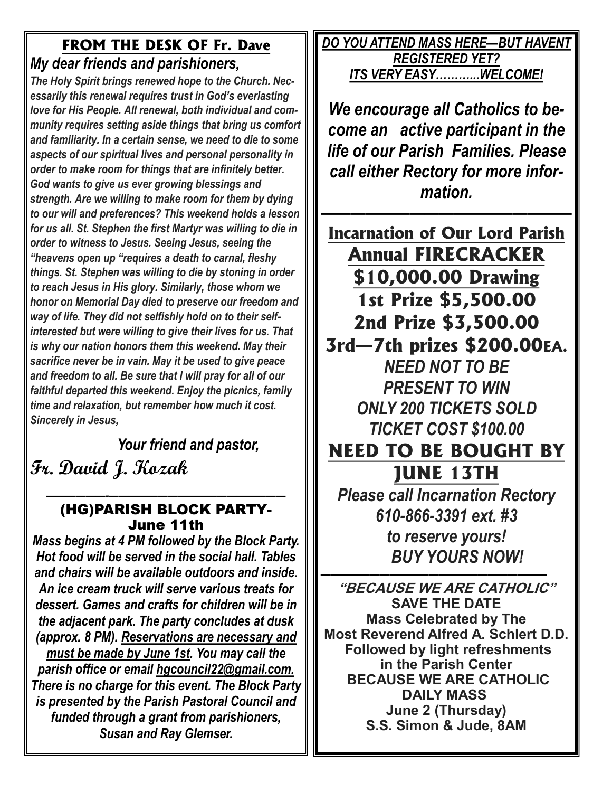### **FROM THE DESK OF Fr. Dave** *My dear friends and parishioners,*

*The Holy Spirit brings renewed hope to the Church. Necessarily this renewal requires trust in God's everlasting love for His People. All renewal, both individual and community requires setting aside things that bring us comfort and familiarity. In a certain sense, we need to die to some aspects of our spiritual lives and personal personality in order to make room for things that are infinitely better. God wants to give us ever growing blessings and strength. Are we willing to make room for them by dying to our will and preferences? This weekend holds a lesson for us all. St. Stephen the first Martyr was willing to die in order to witness to Jesus. Seeing Jesus, seeing the "heavens open up "requires a death to carnal, fleshy things. St. Stephen was willing to die by stoning in order to reach Jesus in His glory. Similarly, those whom we honor on Memorial Day died to preserve our freedom and way of life. They did not selfishly hold on to their selfinterested but were willing to give their lives for us. That is why our nation honors them this weekend. May their sacrifice never be in vain. May it be used to give peace and freedom to all. Be sure that I will pray for all of our faithful departed this weekend. Enjoy the picnics, family time and relaxation, but remember how much it cost. Sincerely in Jesus,*

 *Your friend and pastor,*  **Fr. David J. Kozak**

#### *——————-——————————————————* **(HG)PARISH BLOCK PARTY-June 11th**

*Mass begins at 4 PM followed by the Block Party. Hot food will be served in the social hall. Tables and chairs will be available outdoors and inside. An ice cream truck will serve various treats for dessert. Games and crafts for children will be in the adjacent park. The party concludes at dusk (approx. 8 PM). Reservations are necessary and must be made by June 1st. You may call the parish office or email [hgcouncil22@gmail.com.](mailto:hgcouncil22@gmail.com) There is no charge for this event. The Block Party is presented by the Parish Pastoral Council and funded through a grant from parishioners, Susan and Ray Glemser.*

*DO YOU ATTEND MASS HERE—BUT HAVENT REGISTERED YET? ITS VERY EASY………...WELCOME!* 

*We encourage all Catholics to become an active participant in the life of our Parish Families. Please call either Rectory for more information.*

*—————————————————*  **Incarnation of Our Lord Parish Annual FIRECRACKER \$10,000.00 Drawing 1st Prize \$5,500.00 2nd Prize \$3,500.00 3rd—7th prizes \$200.00EA.**  *NEED NOT TO BE PRESENT TO WIN ONLY 200 TICKETS SOLD TICKET COST \$100.00* **NEED TO BE BOUGHT BY JUNE 13TH**  *Please call Incarnation Rectory 610-866-3391 ext. #3 to reserve yours! BUY YOURS NOW!* 

*———————————————————————* **"BECAUSE WE ARE CATHOLIC" SAVE THE DATE Mass Celebrated by The Most Reverend Alfred A. Schlert D.D. Followed by light refreshments in the Parish Center BECAUSE WE ARE CATHOLIC DAILY MASS June 2 (Thursday) S.S. Simon & Jude, 8AM**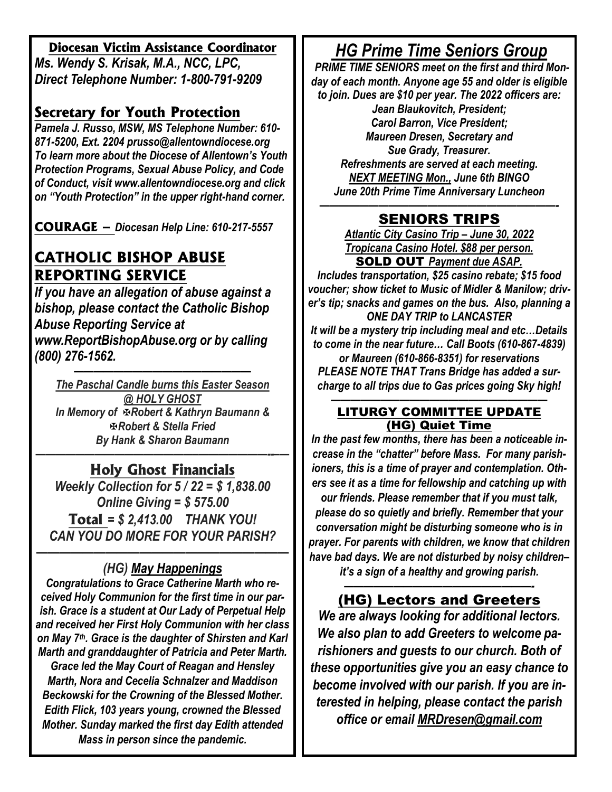#### **Diocesan Victim Assistance Coordinator**

*Ms. Wendy S. Krisak, M.A., NCC, LPC, Direct Telephone Number: 1-800-791-9209* 

### **Secretary for Youth Protection**

*Pamela J. Russo, MSW, MS Telephone Number: 610- 871-5200, Ext. 2204 prusso@allentowndiocese.org To learn more about the Diocese of Allentown's Youth Protection Programs, Sexual Abuse Policy, and Code of Conduct, visit www.allentowndiocese.org and click on "Youth Protection" in the upper right-hand corner.* 

**COURAGE –** *Diocesan Help Line: 610-217-5557* 

### **CATHOLIC BISHOP ABUSE REPORTING SERVICE**

*If you have an allegation of abuse against a bishop, please contact the Catholic Bishop Abuse Reporting Service at www.ReportBishopAbuse.org or by calling (800) 276-1562.*

*—————————————————— The Paschal Candle burns this Easter Season @ HOLY GHOST In Memory of Robert & Kathryn Baumann & Robert & Stella Fried By Hank & Sharon Baumann*

#### *————————————————–———————--–—* **Holy Ghost Financials**

*Weekly Collection for 5 / 22 = \$ 1,838.00 Online Giving = \$ 575.00*  **Total** *= \$ 2,413.00 THANK YOU! CAN YOU DO MORE FOR YOUR PARISH?*

#### *—————————————————————— (HG) May Happenings*

*Congratulations to Grace Catherine Marth who received Holy Communion for the first time in our parish. Grace is a student at Our Lady of Perpetual Help and received her First Holy Communion with her class on May 7th. Grace is the daughter of Shirsten and Karl Marth and granddaughter of Patricia and Peter Marth. Grace led the May Court of Reagan and Hensley Marth, Nora and Cecelia Schnalzer and Maddison Beckowski for the Crowning of the Blessed Mother. Edith Flick, 103 years young, crowned the Blessed Mother. Sunday marked the first day Edith attended Mass in person since the pandemic.*

### *HG Prime Time Seniors Group*

 *PRIME TIME SENIORS meet on the first and third Monday of each month. Anyone age 55 and older is eligible to join. Dues are \$10 per year. The 2022 officers are:* 

*Jean Blaukovitch, President; Carol Barron, Vice President; Maureen Dresen, Secretary and Sue Grady, Treasurer. Refreshments are served at each meeting. NEXT MEETING Mon., June 6th BINGO June 20th Prime Time Anniversary Luncheon*

#### *————————————————————————-* **SENIORS TRIPS**

*Atlantic City Casino Trip – June 30, 2022 Tropicana Casino Hotel. \$88 per person.*  **SOLD OUT** *Payment due ASAP.* 

*Includes transportation, \$25 casino rebate; \$15 food voucher; show ticket to Music of Midler & Manilow; driver's tip; snacks and games on the bus. Also, planning a ONE DAY TRIP to LANCASTER It will be a mystery trip including meal and etc…Details to come in the near future… Call Boots (610-867-4839) or Maureen (610-866-8351) for reservations PLEASE NOTE THAT Trans Bridge has added a surcharge to all trips due to Gas prices going Sky high!*

#### *——————————————————————* **LITURGY COMMITTEE UPDATE (HG) Quiet Time**

*In the past few months, there has been a noticeable increase in the "chatter" before Mass. For many parishioners, this is a time of prayer and contemplation. Others see it as a time for fellowship and catching up with our friends. Please remember that if you must talk, please do so quietly and briefly. Remember that your conversation might be disturbing someone who is in prayer. For parents with children, we know that children have bad days. We are not disturbed by noisy children– it's a sign of a healthy and growing parish.* 

> *———————————————————-*  **(HG) Lectors and Greeters**

*We are always looking for additional lectors. We also plan to add Greeters to welcome parishioners and guests to our church. Both of these opportunities give you an easy chance to become involved with our parish. If you are interested in helping, please contact the parish office or email [MRDresen@gmail.com](mailto:MRDresen@gmail.com)*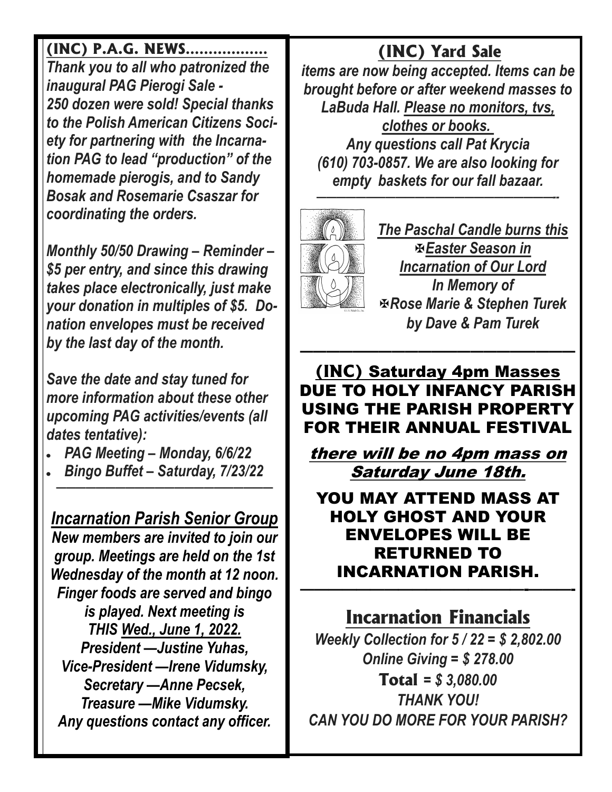### **(INC) P.A.G. NEWS………………**

*Thank you to all who patronized the inaugural PAG Pierogi Sale - 250 dozen were sold! Special thanks to the Polish American Citizens Society for partnering with the Incarnation PAG to lead "production" of the homemade pierogis, and to Sandy Bosak and Rosemarie Csaszar for coordinating the orders.*

*Monthly 50/50 Drawing – Reminder – \$5 per entry, and since this drawing takes place electronically, just make your donation in multiples of \$5. Donation envelopes must be received by the last day of the month.* 

*Save the date and stay tuned for more information about these other upcoming PAG activities/events (all dates tentative):*

- *PAG Meeting – Monday, 6/6/22*
- *Bingo Buffet – Saturday, 7/23/22*

*——————————————————————*

*Incarnation Parish Senior Group New members are invited to join our group. Meetings are held on the 1st Wednesday of the month at 12 noon. Finger foods are served and bingo is played. Next meeting is THIS Wed., June 1, 2022. President —Justine Yuhas, Vice-President —Irene Vidumsky, Secretary —Anne Pecsek, Treasure —Mike Vidumsky. Any questions contact any officer.* 

## **(INC) Yard Sale**

*items are now being accepted. Items can be brought before or after weekend masses to LaBuda Hall. Please no monitors, tvs, clothes or books. Any questions call Pat Krycia (610) 703-0857. We are also looking for empty baskets for our fall bazaar.* 

*————————————————————————--* 



*The Paschal Candle burns this Easter Season in Incarnation of Our Lord In Memory of Rose Marie & Stephen Turek by Dave & Pam Turek* 

**(INC) Saturday 4pm Masses DUE TO HOLY INFANCY PARISH USING THE PARISH PROPERTY FOR THEIR ANNUAL FESTIVAL** 

*—————————————————————*

**there will be no 4pm mass on Saturday June 18th.** 

**YOU MAY ATTEND MASS AT HOLY GHOST AND YOUR ENVELOPES WILL BE RETURNED TO INCARNATION PARISH. ————————————————-———-**

## **Incarnation Financials**

*Weekly Collection for 5 / 22 = \$ 2,802.00 Online Giving = \$ 278.00*  **Total** *= \$ 3,080.00 THANK YOU! CAN YOU DO MORE FOR YOUR PARISH?*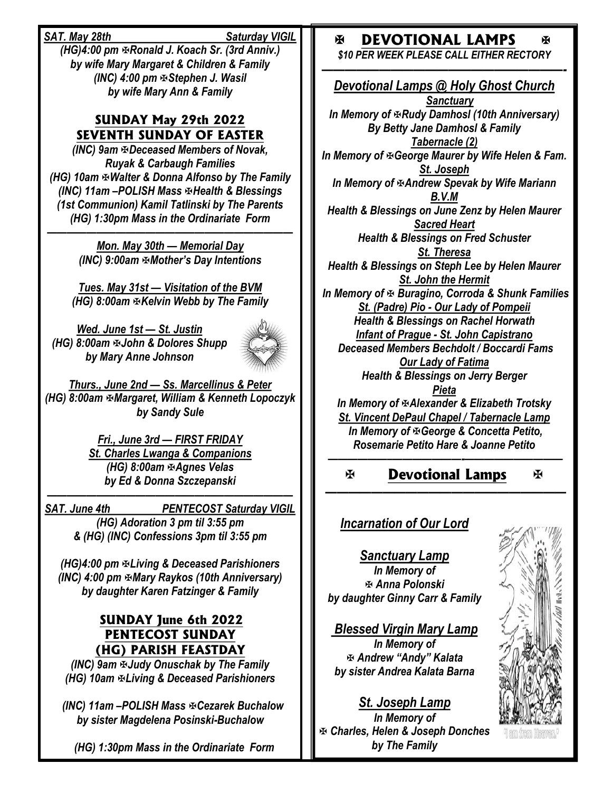*SAT. May 28th Saturday VIGIL* 

*(HG)4:00 pm F-Ronald J. Koach Sr. (3rd Anniv.) by wife Mary Margaret & Children & Family (INC) 4:00 pm Stephen J. Wasil by wife Mary Ann & Family* 

#### **SUNDAY May 29th 2022 SEVENTH SUNDAY OF EASTER**

*(INC) 9am Deceased Members of Novak, Ruyak & Carbaugh Families (HG) 10am Walter & Donna Alfonso by The Family (INC) 11am –POLISH Mass Health & Blessings (1st Communion) Kamil Tatlinski by The Parents (HG) 1:30pm Mass in the Ordinariate Form* 

*————————————————————————— Mon. May 30th — Memorial Day (INC) 9:00am Mother's Day Intentions*

*Tues. May 31st — Visitation of the BVM (HG) 8:00am Kelvin Webb by The Family* 

*Wed. June 1st — St. Justin (HG) 8:00am John & Dolores Shupp by Mary Anne Johnson*



*Thurs., June 2nd — Ss. Marcellinus & Peter (HG) 8:00am Margaret, William & Kenneth Lopoczyk by Sandy Sule*

> *Fri., June 3rd — FIRST FRIDAY St. Charles Lwanga & Companions (HG) 8:00am ⊕Agnes Velas by Ed & Donna Szczepanski*

*————————————————————————— SAT. June 4th PENTECOST Saturday VIGIL (HG) Adoration 3 pm til 3:55 pm & (HG) (INC) Confessions 3pm til 3:55 pm*

*(HG)4:00 pm Living & Deceased Parishioners (INC) 4:00 pm Mary Raykos (10th Anniversary) by daughter Karen Fatzinger & Family* 

#### **SUNDAY June 6th 2022 PENTECOST SUNDAY (HG) PARISH FEASTDAY**

*(INC) 9am Judy Onuschak by The Family (HG) 10am Living & Deceased Parishioners*

 *(INC) 11am –POLISH Mass Cezarek Buchalow by sister Magdelena Posinski-Buchalow*

 *(HG) 1:30pm Mass in the Ordinariate Form* 

### **EXAMPLE DEVOTIONAL LAMPS**

*\$10 PER WEEK PLEASE CALL EITHER RECTORY —————————————————————-*

ж

*Devotional Lamps @ Holy Ghost Church Sanctuary In Memory of Rudy Damhosl (10th Anniversary) By Betty Jane Damhosl & Family Tabernacle (2) In Memory of George Maurer by Wife Helen & Fam. St. Joseph In Memory of Andrew Spevak by Wife Mariann B.V.M Health & Blessings on June Zenz by Helen Maurer Sacred Heart Health & Blessings on Fred Schuster St. Theresa Health & Blessings on Steph Lee by Helen Maurer St. John the Hermit In Memory of Buragino, Corroda & Shunk Families St. (Padre) Pio - Our Lady of Pompeii Health & Blessings on Rachel Horwath Infant of Prague - St. John Capistrano Deceased Members Bechdolt / Boccardi Fams Our Lady of Fatima Health & Blessings on Jerry Berger Pieta In Memory of Alexander & Elizabeth Trotsky St. Vincent DePaul Chapel / Tabernacle Lamp* **In Memory of & George & Concetta Petito,** *Rosemarie Petito Hare & Joanne Petito ——————–———————-——————————*

#### 图 **Devotional Lamps**  图

*—————————————————————* 

### *Incarnation of Our Lord*

*Sanctuary Lamp In Memory of Anna Polonski by daughter Ginny Carr & Family*

*Blessed Virgin Mary Lamp In Memory of Andrew "Andy" Kalata by sister Andrea Kalata Barna*

*St. Joseph Lamp In Memory of Charles, Helen & Joseph Donches by The Family*